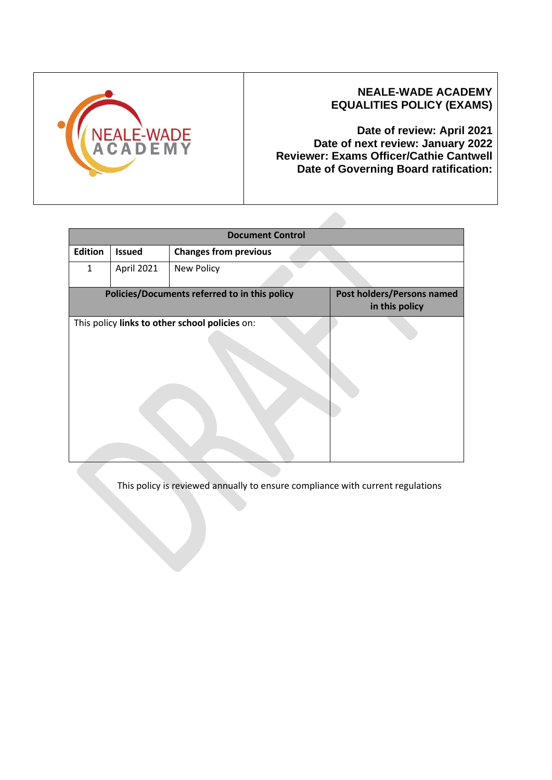

### **NEALE-WADE ACADEMY EQUALITIES POLICY (EXAMS)**

**Date of review: April 2021 Date of next review: January 2022 Reviewer: Exams Officer/Cathie Cantwell Date of Governing Board ratification:** 

| <b>Document Control</b> |                                                |                                                     |  |  |  |  |  |
|-------------------------|------------------------------------------------|-----------------------------------------------------|--|--|--|--|--|
| <b>Edition</b>          | <b>Issued</b>                                  | <b>Changes from previous</b>                        |  |  |  |  |  |
| $\mathbf{1}$            | April 2021                                     | New Policy                                          |  |  |  |  |  |
|                         | Policies/Documents referred to in this policy  | <b>Post holders/Persons named</b><br>in this policy |  |  |  |  |  |
|                         | This policy links to other school policies on: |                                                     |  |  |  |  |  |

This policy is reviewed annually to ensure compliance with current regulations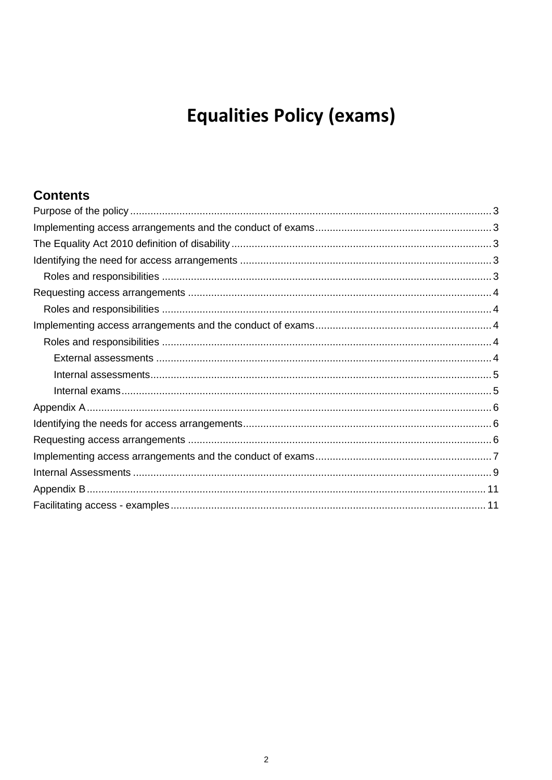# **Equalities Policy (exams)**

# **Contents**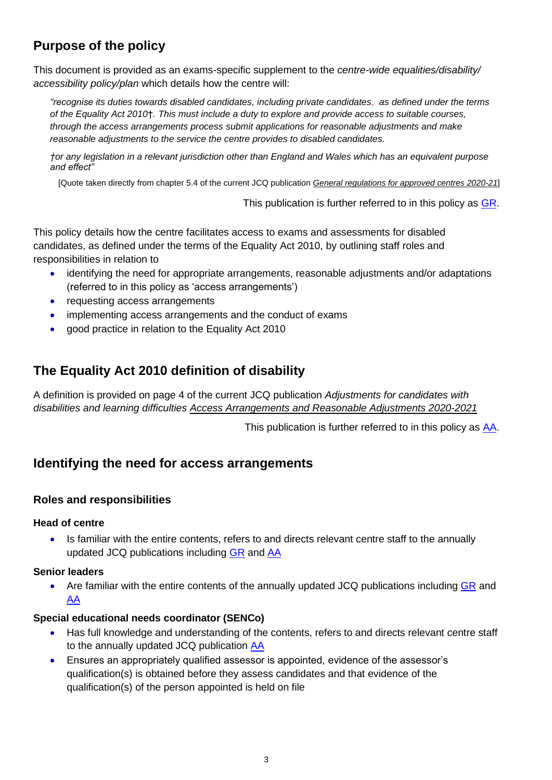# <span id="page-2-0"></span>**Purpose of the policy**

This document is provided as an exams-specific supplement to the *centre-wide equalities/disability/ accessibility policy/plan* which details how the centre will:

*"recognise its duties towards disabled candidates, including private candidates, as defined under the terms of the Equality Act 2010*†*. This must include a duty to explore and provide access to suitable courses, through the access arrangements process submit applications for reasonable adjustments and make reasonable adjustments to the service the centre provides to disabled candidates.*

*†or any legislation in a relevant jurisdiction other than England and Wales which has an equivalent purpose and effect"* 

[Quote taken directly from chapter 5.4 of the current JCQ publication *[General regulations for approved centres](http://www.jcq.org.uk/exams-office/general-regulations) 2020-21*]

This publication is further referred to in this policy as [GR.](http://www.jcq.org.uk/exams-office/general-regulations)

This policy details how the centre facilitates access to exams and assessments for disabled candidates, as defined under the terms of the Equality Act 2010, by outlining staff roles and responsibilities in relation to

- identifying the need for appropriate arrangements, reasonable adjustments and/or adaptations (referred to in this policy as 'access arrangements')
- requesting access arrangements
- implementing access arrangements and the conduct of exams
- good practice in relation to the Equality Act 2010

# <span id="page-2-1"></span>**The Equality Act 2010 definition of disability**

A definition is provided on page 4 of the current JCQ publication *Adjustments for candidates with disabilities and learning difficulties [Access Arrangements and Reasonable Adjustments](http://www.jcq.org.uk/exams-office/access-arrangements-and-special-consideration/regulations-and-guidance) 2020-2021*

This publication is further referred to in this policy as [AA.](http://www.jcq.org.uk/exams-office/access-arrangements-and-special-consideration/regulations-and-guidance)

# <span id="page-2-2"></span>**Identifying the need for access arrangements**

#### <span id="page-2-3"></span>**Roles and responsibilities**

#### **Head of centre**

• Is familiar with the entire contents, refers to and directs relevant centre staff to the annually updated JCQ publications including [GR](http://www.jcq.org.uk/exams-office/general-regulations) and [AA](http://www.jcq.org.uk/exams-office/access-arrangements-and-special-consideration/regulations-and-guidance)

#### **Senior leaders**

• Are familiar with the entire contents of the annually updated JCQ publications including [GR](http://www.jcq.org.uk/exams-office/general-regulations) and [AA](http://www.jcq.org.uk/exams-office/access-arrangements-and-special-consideration/regulations-and-guidance)

#### **Special educational needs coordinator (SENCo)**

- Has full knowledge and understanding of the contents, refers to and directs relevant centre staff to the annually updated JCQ publication [AA](http://www.jcq.org.uk/exams-office/access-arrangements-and-special-consideration/regulations-and-guidance)
- Ensures an appropriately qualified assessor is appointed, evidence of the assessor's qualification(s) is obtained before they assess candidates and that evidence of the qualification(s) of the person appointed is held on file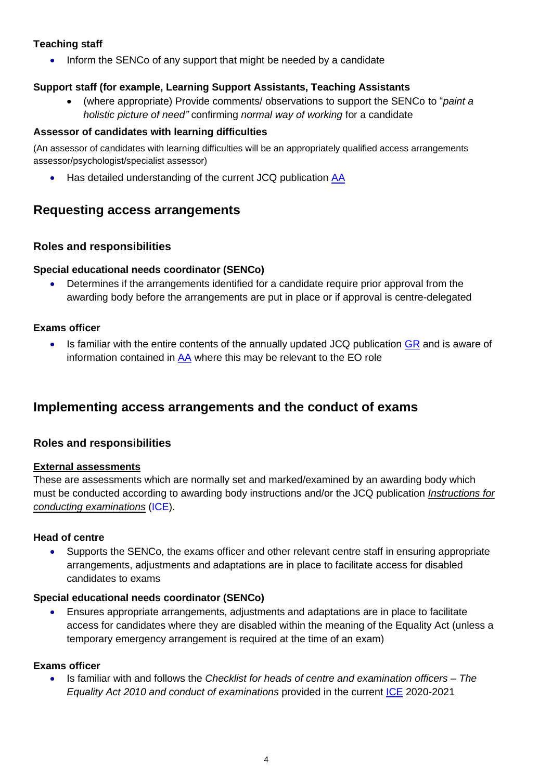#### **Teaching staff**

• Inform the SENCo of any support that might be needed by a candidate

#### **Support staff (for example, Learning Support Assistants, Teaching Assistants**

• (where appropriate) Provide comments/ observations to support the SENCo to "*paint a holistic picture of need"* confirming *normal way of working* for a candidate

#### **Assessor of candidates with learning difficulties**

(An assessor of candidates with learning difficulties will be an appropriately qualified access arrangements assessor/psychologist/specialist assessor)

• Has detailed understanding of the current JCQ publication [AA](http://www.jcq.org.uk/exams-office/access-arrangements-and-special-consideration/regulations-and-guidance)

### <span id="page-3-0"></span>**Requesting access arrangements**

#### <span id="page-3-1"></span>**Roles and responsibilities**

#### **Special educational needs coordinator (SENCo)**

• Determines if the arrangements identified for a candidate require prior approval from the awarding body before the arrangements are put in place or if approval is centre-delegated

#### **Exams officer**

Is familiar with the entire contents of the annually updated JCQ publication [GR](http://www.jcq.org.uk/exams-office/general-regulations) and is aware of information contained in  $AA$  where this may be relevant to the EO role

## <span id="page-3-2"></span>**Implementing access arrangements and the conduct of exams**

#### <span id="page-3-3"></span>**Roles and responsibilities**

#### <span id="page-3-4"></span>**External assessments**

These are assessments which are normally set and marked/examined by an awarding body which must be conducted according to awarding body instructions and/or the JCQ publication *[Instructions for](http://www.jcq.org.uk/exams-office/ice---instructions-for-conducting-examinations)  [conducting examinations](http://www.jcq.org.uk/exams-office/ice---instructions-for-conducting-examinations)* (ICE).

#### **Head of centre**

• Supports the SENCo, the exams officer and other relevant centre staff in ensuring appropriate arrangements, adjustments and adaptations are in place to facilitate access for disabled candidates to exams

#### **Special educational needs coordinator (SENCo)**

• Ensures appropriate arrangements, adjustments and adaptations are in place to facilitate access for candidates where they are disabled within the meaning of the Equality Act (unless a temporary emergency arrangement is required at the time of an exam)

#### **Exams officer**

• Is familiar with and follows the *Checklist for heads of centre and examination officers – The Equality Act 2010 and conduct of examinations* provided in the current [ICE](http://www.jcq.org.uk/exams-office/ice---instructions-for-conducting-examinations) 2020-2021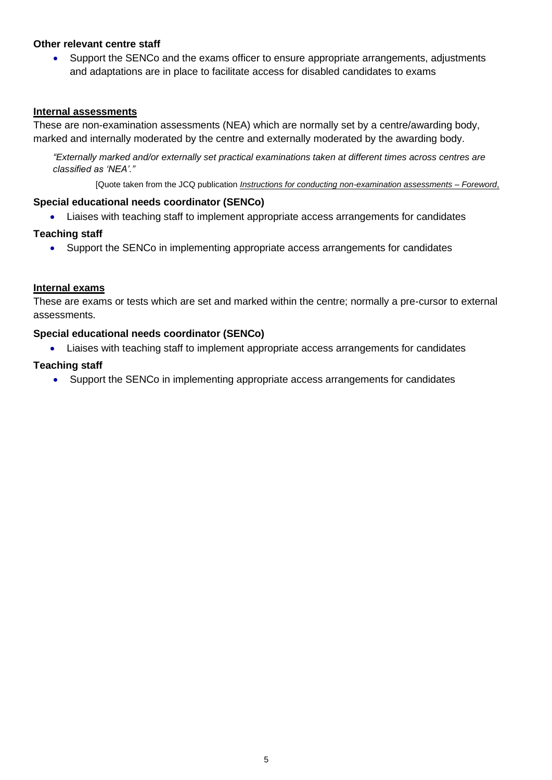#### **Other relevant centre staff**

• Support the SENCo and the exams officer to ensure appropriate arrangements, adjustments and adaptations are in place to facilitate access for disabled candidates to exams

#### <span id="page-4-0"></span>**Internal assessments**

These are non-examination assessments (NEA) which are normally set by a centre/awarding body, marked and internally moderated by the centre and externally moderated by the awarding body.

*"Externally marked and/or externally set practical examinations taken at different times across centres are classified as 'NEA'."*

[Quote taken from the JCQ publication *[Instructions for conducting non-examination assessments](http://www.jcq.org.uk/exams-office/non-examination-assessments)* – *Foreword*,

#### **Special educational needs coordinator (SENCo)**

• Liaises with teaching staff to implement appropriate access arrangements for candidates

#### **Teaching staff**

• Support the SENCo in implementing appropriate access arrangements for candidates

#### <span id="page-4-1"></span>**Internal exams**

These are exams or tests which are set and marked within the centre; normally a pre-cursor to external assessments.

#### **Special educational needs coordinator (SENCo)**

• Liaises with teaching staff to implement appropriate access arrangements for candidates

#### **Teaching staff**

• Support the SENCo in implementing appropriate access arrangements for candidates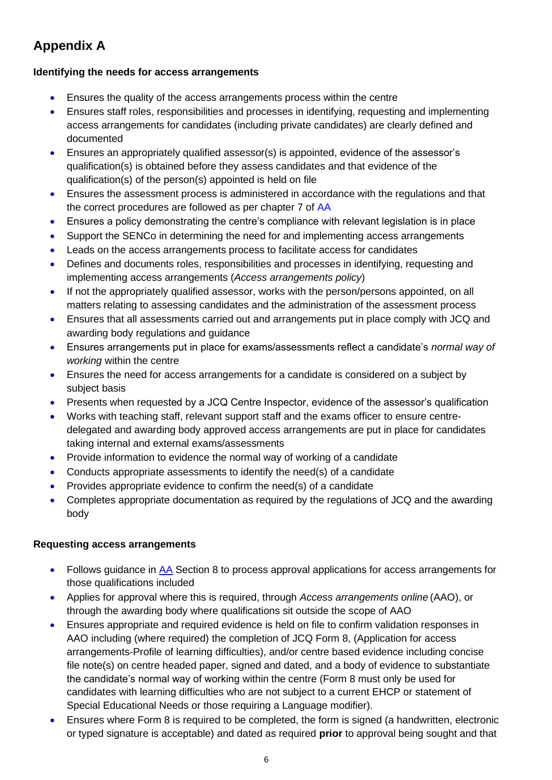# <span id="page-5-0"></span>**Appendix A**

#### <span id="page-5-1"></span>**Identifying the needs for access arrangements**

- Ensures the quality of the access arrangements process within the centre
- Ensures staff roles, responsibilities and processes in identifying, requesting and implementing access arrangements for candidates (including private candidates) are clearly defined and documented
- Ensures an appropriately qualified assessor(s) is appointed, evidence of the assessor's qualification(s) is obtained before they assess candidates and that evidence of the qualification(s) of the person(s) appointed is held on file
- Ensures the assessment process is administered in accordance with the regulations and that the correct procedures are followed as per chapter 7 of AA
- Ensures a policy demonstrating the centre's compliance with relevant legislation is in place
- Support the SENCo in determining the need for and implementing access arrangements
- Leads on the access arrangements process to facilitate access for candidates
- Defines and documents roles, responsibilities and processes in identifying, requesting and implementing access arrangements (*Access arrangements policy*)
- If not the appropriately qualified assessor, works with the person/persons appointed, on all matters relating to assessing candidates and the administration of the assessment process
- Ensures that all assessments carried out and arrangements put in place comply with JCQ and awarding body regulations and guidance
- Ensures arrangements put in place for exams/assessments reflect a candidate's *normal way of working* within the centre
- Ensures the need for access arrangements for a candidate is considered on a subject by subject basis
- Presents when requested by a JCQ Centre Inspector, evidence of the assessor's qualification
- Works with teaching staff, relevant support staff and the exams officer to ensure centredelegated and awarding body approved access arrangements are put in place for candidates taking internal and external exams/assessments
- Provide information to evidence the normal way of working of a candidate
- Conducts appropriate assessments to identify the need(s) of a candidate
- Provides appropriate evidence to confirm the need(s) of a candidate
- Completes appropriate documentation as required by the regulations of JCQ and the awarding body

#### <span id="page-5-2"></span>**Requesting access arrangements**

- Follows guidance in [AA](http://www.jcq.org.uk/exams-office/access-arrangements-and-special-consideration) Section 8 to process approval applications for access arrangements for those qualifications included
- Applies for approval where this is required, through *Access arrangements online* (AAO), or through the awarding body where qualifications sit outside the scope of AAO
- Ensures appropriate and required evidence is held on file to confirm validation responses in AAO including (where required) the completion of JCQ Form 8, (Application for access arrangements-Profile of learning difficulties), and/or centre based evidence including concise file note(s) on centre headed paper, signed and dated, and a body of evidence to substantiate the candidate's normal way of working within the centre (Form 8 must only be used for candidates with learning difficulties who are not subject to a current EHCP or statement of Special Educational Needs or those requiring a Language modifier).
- Ensures where Form 8 is required to be completed, the form is signed (a handwritten, electronic or typed signature is acceptable) and dated as required **prior** to approval being sought and that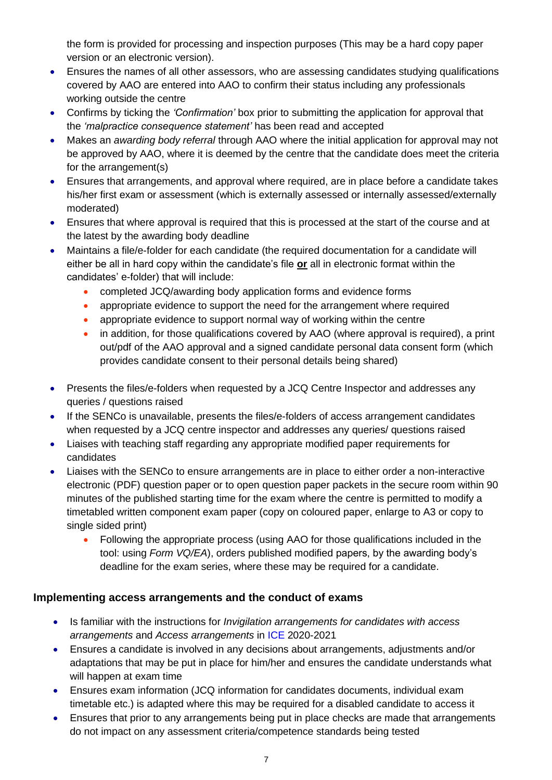the form is provided for processing and inspection purposes (This may be a hard copy paper version or an electronic version).

- Ensures the names of all other assessors, who are assessing candidates studying qualifications covered by AAO are entered into AAO to confirm their status including any professionals working outside the centre
- Confirms by ticking the *'Confirmation'* box prior to submitting the application for approval that the *'malpractice consequence statement'* has been read and accepted
- Makes an *awarding body referral* through AAO where the initial application for approval may not be approved by AAO, where it is deemed by the centre that the candidate does meet the criteria for the arrangement(s)
- Ensures that arrangements, and approval where required, are in place before a candidate takes his/her first exam or assessment (which is externally assessed or internally assessed/externally moderated)
- Ensures that where approval is required that this is processed at the start of the course and at the latest by the awarding body deadline
- Maintains a file/e-folder for each candidate (the required documentation for a candidate will either be all in hard copy within the candidate's file **or** all in electronic format within the candidates' e-folder) that will include:
	- completed JCQ/awarding body application forms and evidence forms
	- appropriate evidence to support the need for the arrangement where required
	- appropriate evidence to support normal way of working within the centre
	- in addition, for those qualifications covered by AAO (where approval is required), a print out/pdf of the AAO approval and a signed candidate personal data consent form (which provides candidate consent to their personal details being shared)
- Presents the files/e-folders when requested by a JCQ Centre Inspector and addresses any queries / questions raised
- If the SENCo is unavailable, presents the files/e-folders of access arrangement candidates when requested by a JCQ centre inspector and addresses any queries/ questions raised
- Liaises with teaching staff regarding any appropriate modified paper requirements for candidates
- Liaises with the SENCo to ensure arrangements are in place to either order a non-interactive electronic (PDF) question paper or to open question paper packets in the secure room within 90 minutes of the published starting time for the exam where the centre is permitted to modify a timetabled written component exam paper (copy on coloured paper, enlarge to A3 or copy to single sided print)
	- Following the appropriate process (using AAO for those qualifications included in the tool: using *Form VQ/EA*), orders published modified papers, by the awarding body's deadline for the exam series, where these may be required for a candidate.

### <span id="page-6-0"></span>**Implementing access arrangements and the conduct of exams**

- Is familiar with the instructions for *Invigilation arrangements for candidates with access arrangements* and *Access arrangements* in ICE 2020-2021
- Ensures a candidate is involved in any decisions about arrangements, adjustments and/or adaptations that may be put in place for him/her and ensures the candidate understands what will happen at exam time
- Ensures exam information (JCQ information for candidates documents, individual exam timetable etc.) is adapted where this may be required for a disabled candidate to access it
- Ensures that prior to any arrangements being put in place checks are made that arrangements do not impact on any assessment criteria/competence standards being tested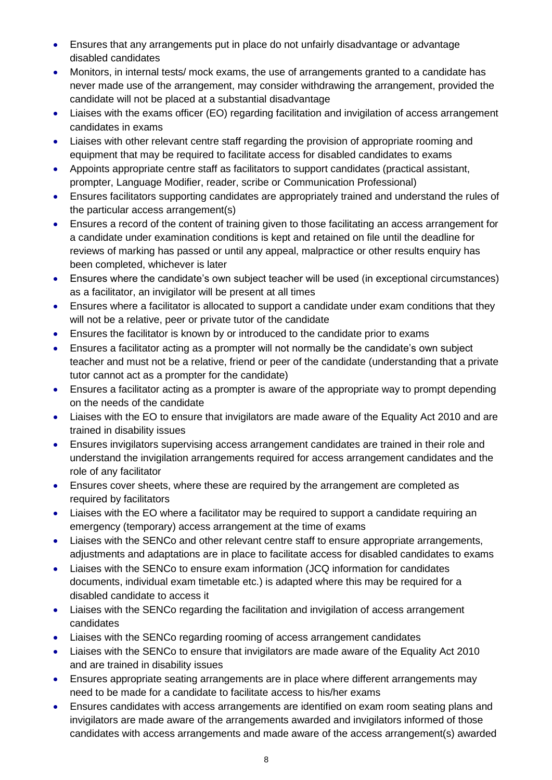- Ensures that any arrangements put in place do not unfairly disadvantage or advantage disabled candidates
- Monitors, in internal tests/ mock exams, the use of arrangements granted to a candidate has never made use of the arrangement, may consider withdrawing the arrangement, provided the candidate will not be placed at a substantial disadvantage
- Liaises with the exams officer (EO) regarding facilitation and invigilation of access arrangement candidates in exams
- Liaises with other relevant centre staff regarding the provision of appropriate rooming and equipment that may be required to facilitate access for disabled candidates to exams
- Appoints appropriate centre staff as facilitators to support candidates (practical assistant, prompter, Language Modifier, reader, scribe or Communication Professional)
- Ensures facilitators supporting candidates are appropriately trained and understand the rules of the particular access arrangement(s)
- Ensures a record of the content of training given to those facilitating an access arrangement for a candidate under examination conditions is kept and retained on file until the deadline for reviews of marking has passed or until any appeal, malpractice or other results enquiry has been completed, whichever is later
- Ensures where the candidate's own subject teacher will be used (in exceptional circumstances) as a facilitator, an invigilator will be present at all times
- Ensures where a facilitator is allocated to support a candidate under exam conditions that they will not be a relative, peer or private tutor of the candidate
- Ensures the facilitator is known by or introduced to the candidate prior to exams
- Ensures a facilitator acting as a prompter will not normally be the candidate's own subject teacher and must not be a relative, friend or peer of the candidate (understanding that a private tutor cannot act as a prompter for the candidate)
- Ensures a facilitator acting as a prompter is aware of the appropriate way to prompt depending on the needs of the candidate
- Liaises with the EO to ensure that invigilators are made aware of the Equality Act 2010 and are trained in disability issues
- Ensures invigilators supervising access arrangement candidates are trained in their role and understand the invigilation arrangements required for access arrangement candidates and the role of any facilitator
- Ensures cover sheets, where these are required by the arrangement are completed as required by facilitators
- Liaises with the EO where a facilitator may be required to support a candidate requiring an emergency (temporary) access arrangement at the time of exams
- Liaises with the SENCo and other relevant centre staff to ensure appropriate arrangements, adjustments and adaptations are in place to facilitate access for disabled candidates to exams
- Liaises with the SENCo to ensure exam information (JCQ information for candidates documents, individual exam timetable etc.) is adapted where this may be required for a disabled candidate to access it
- Liaises with the SENCo regarding the facilitation and invigilation of access arrangement candidates
- Liaises with the SENCo regarding rooming of access arrangement candidates
- Liaises with the SENCo to ensure that invigilators are made aware of the Equality Act 2010 and are trained in disability issues
- Ensures appropriate seating arrangements are in place where different arrangements may need to be made for a candidate to facilitate access to his/her exams
- Ensures candidates with access arrangements are identified on exam room seating plans and invigilators are made aware of the arrangements awarded and invigilators informed of those candidates with access arrangements and made aware of the access arrangement(s) awarded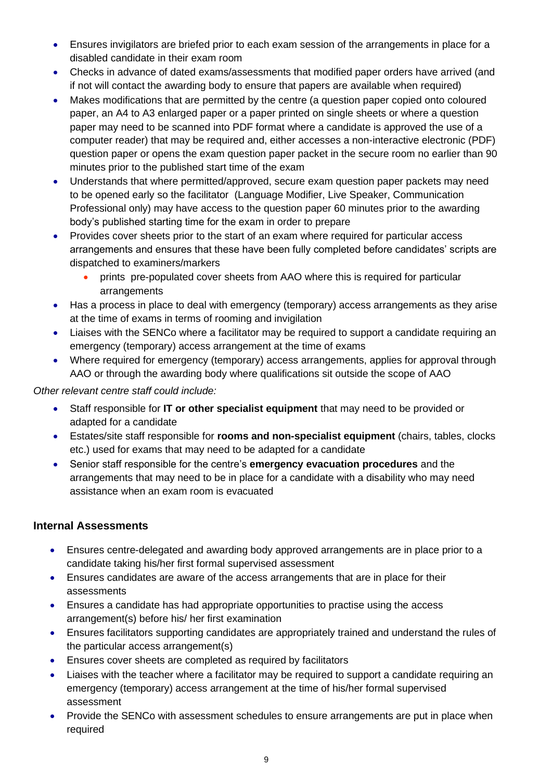- Ensures invigilators are briefed prior to each exam session of the arrangements in place for a disabled candidate in their exam room
- Checks in advance of dated exams/assessments that modified paper orders have arrived (and if not will contact the awarding body to ensure that papers are available when required)
- Makes modifications that are permitted by the centre (a question paper copied onto coloured paper, an A4 to A3 enlarged paper or a paper printed on single sheets or where a question paper may need to be scanned into PDF format where a candidate is approved the use of a computer reader) that may be required and, either accesses a non-interactive electronic (PDF) question paper or opens the exam question paper packet in the secure room no earlier than 90 minutes prior to the published start time of the exam
- Understands that where permitted/approved, secure exam question paper packets may need to be opened early so the facilitator (Language Modifier, Live Speaker, Communication Professional only) may have access to the question paper 60 minutes prior to the awarding body's published starting time for the exam in order to prepare
- Provides cover sheets prior to the start of an exam where required for particular access arrangements and ensures that these have been fully completed before candidates' scripts are dispatched to examiners/markers
	- prints pre-populated cover sheets from AAO where this is required for particular arrangements
- Has a process in place to deal with emergency (temporary) access arrangements as they arise at the time of exams in terms of rooming and invigilation
- Liaises with the SENCo where a facilitator may be required to support a candidate requiring an emergency (temporary) access arrangement at the time of exams
- Where required for emergency (temporary) access arrangements, applies for approval through AAO or through the awarding body where qualifications sit outside the scope of AAO

*Other relevant centre staff could include:*

- Staff responsible for **IT or other specialist equipment** that may need to be provided or adapted for a candidate
- Estates/site staff responsible for **rooms and non-specialist equipment** (chairs, tables, clocks etc.) used for exams that may need to be adapted for a candidate
- Senior staff responsible for the centre's **emergency evacuation procedures** and the arrangements that may need to be in place for a candidate with a disability who may need assistance when an exam room is evacuated

## <span id="page-8-0"></span>**Internal Assessments**

- Ensures centre-delegated and awarding body approved arrangements are in place prior to a candidate taking his/her first formal supervised assessment
- Ensures candidates are aware of the access arrangements that are in place for their assessments
- Ensures a candidate has had appropriate opportunities to practise using the access arrangement(s) before his/ her first examination
- Ensures facilitators supporting candidates are appropriately trained and understand the rules of the particular access arrangement(s)
- Ensures cover sheets are completed as required by facilitators
- Liaises with the teacher where a facilitator may be required to support a candidate requiring an emergency (temporary) access arrangement at the time of his/her formal supervised assessment
- Provide the SENCo with assessment schedules to ensure arrangements are put in place when required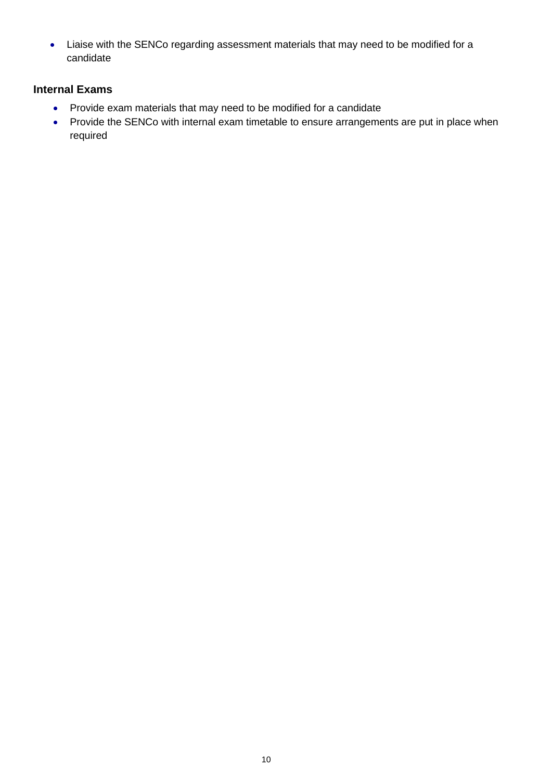• Liaise with the SENCo regarding assessment materials that may need to be modified for a candidate

### **Internal Exams**

- Provide exam materials that may need to be modified for a candidate
- Provide the SENCo with internal exam timetable to ensure arrangements are put in place when required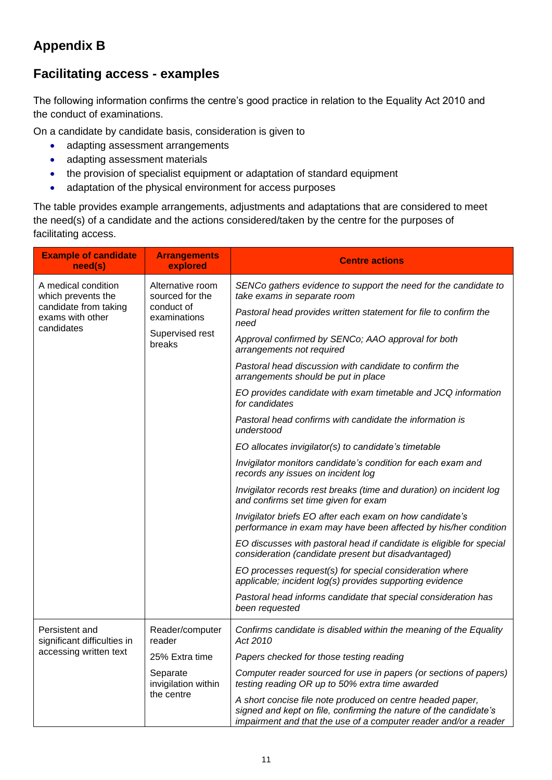# <span id="page-10-0"></span>**Appendix B**

# <span id="page-10-1"></span>**Facilitating access - examples**

The following information confirms the centre's good practice in relation to the Equality Act 2010 and the conduct of examinations.

On a candidate by candidate basis, consideration is given to

- adapting assessment arrangements
- adapting assessment materials
- the provision of specialist equipment or adaptation of standard equipment
- adaptation of the physical environment for access purposes

The table provides example arrangements, adjustments and adaptations that are considered to meet the need(s) of a candidate and the actions considered/taken by the centre for the purposes of facilitating access.

| <b>Example of candidate</b><br>need(s)                  | <b>Arrangements</b><br>explored                                                                | <b>Centre actions</b>                                                                                                                                                                               |
|---------------------------------------------------------|------------------------------------------------------------------------------------------------|-----------------------------------------------------------------------------------------------------------------------------------------------------------------------------------------------------|
| A medical condition<br>which prevents the               | Alternative room<br>sourced for the<br>conduct of<br>examinations<br>Supervised rest<br>breaks | SENCo gathers evidence to support the need for the candidate to<br>take exams in separate room                                                                                                      |
| candidate from taking<br>exams with other<br>candidates |                                                                                                | Pastoral head provides written statement for file to confirm the<br>need                                                                                                                            |
|                                                         |                                                                                                | Approval confirmed by SENCo; AAO approval for both<br>arrangements not required                                                                                                                     |
|                                                         |                                                                                                | Pastoral head discussion with candidate to confirm the<br>arrangements should be put in place                                                                                                       |
|                                                         |                                                                                                | EO provides candidate with exam timetable and JCQ information<br>for candidates                                                                                                                     |
|                                                         |                                                                                                | Pastoral head confirms with candidate the information is<br>understood                                                                                                                              |
|                                                         |                                                                                                | EO allocates invigilator(s) to candidate's timetable                                                                                                                                                |
|                                                         |                                                                                                | Invigilator monitors candidate's condition for each exam and<br>records any issues on incident log                                                                                                  |
|                                                         |                                                                                                | Invigilator records rest breaks (time and duration) on incident log<br>and confirms set time given for exam                                                                                         |
|                                                         |                                                                                                | Invigilator briefs EO after each exam on how candidate's<br>performance in exam may have been affected by his/her condition                                                                         |
|                                                         |                                                                                                | EO discusses with pastoral head if candidate is eligible for special<br>consideration (candidate present but disadvantaged)                                                                         |
|                                                         |                                                                                                | EO processes request(s) for special consideration where<br>applicable; incident log(s) provides supporting evidence                                                                                 |
|                                                         |                                                                                                | Pastoral head informs candidate that special consideration has<br>been requested                                                                                                                    |
| Persistent and<br>significant difficulties in           | Reader/computer<br>reader                                                                      | Confirms candidate is disabled within the meaning of the Equality<br>Act 2010                                                                                                                       |
| accessing written text                                  | 25% Extra time                                                                                 | Papers checked for those testing reading                                                                                                                                                            |
|                                                         | Separate<br>invigilation within<br>the centre                                                  | Computer reader sourced for use in papers (or sections of papers)<br>testing reading OR up to 50% extra time awarded                                                                                |
|                                                         |                                                                                                | A short concise file note produced on centre headed paper,<br>signed and kept on file, confirming the nature of the candidate's<br>impairment and that the use of a computer reader and/or a reader |